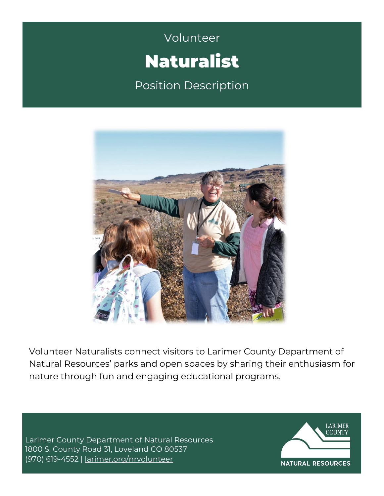# Volunteer **Campbell** Volunteer Naturalist

Position Description



Volunteer Naturalists connect visitors to Larimer County Department of Natural Resources' parks and open spaces by sharing their enthusiasm for nature through fun and engaging educational programs.

Larimer County Department of Natural Resources 1800 S. County Road 31, Loveland CO 80537 (970) 619-4552 | [larimer.org/nrvolunteer](http://www.larimer.org/nrvolunteer)

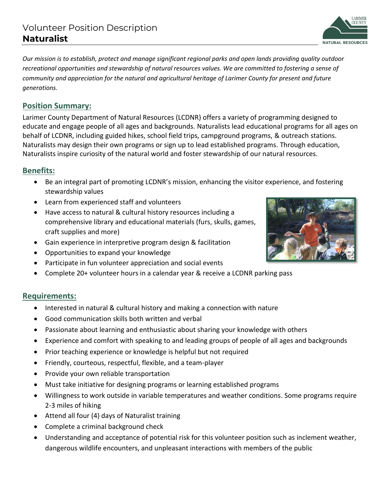*Our mission is to establish, protect and manage significant regional parks and open lands providing quality outdoor recreational opportunities and stewardship of natural resources values. We are committed to fostering a sense of community and appreciation for the natural and agricultural heritage of Larimer County for present and future generations.* 

## **Position Summary:**

Larimer County Department of Natural Resources (LCDNR) offers a variety of programming designed to educate and engage people of all ages and backgrounds. Naturalists lead educational programs for all ages on behalf of LCDNR, including guided hikes, school field trips, campground programs, & outreach stations. Naturalists may design their own programs or sign up to lead established programs. Through education, Naturalists inspire curiosity of the natural world and foster stewardship of our natural resources.

## **Benefits:**

- Be an integral part of promoting LCDNR's mission, enhancing the visitor experience, and fostering stewardship values
- Learn from experienced staff and volunteers
- Have access to natural & cultural history resources including a comprehensive library and educational materials (furs, skulls, games, craft supplies and more)
- Gain experience in interpretive program design & facilitation
- Opportunities to expand your knowledge
- Participate in fun volunteer appreciation and social events
- Complete 20+ volunteer hours in a calendar year & receive a LCDNR parking pass

#### **Requirements:**

- Interested in natural & cultural history and making a connection with nature
- Good communication skills both written and verbal
- Passionate about learning and enthusiastic about sharing your knowledge with others
- Experience and comfort with speaking to and leading groups of people of all ages and backgrounds
- Prior teaching experience or knowledge is helpful but not required
- Friendly, courteous, respectful, flexible, and a team-player
- Provide your own reliable transportation
- Must take initiative for designing programs or learning established programs
- Willingness to work outside in variable temperatures and weather conditions. Some programs require 2-3 miles of hiking
- Attend all four (4) days of Naturalist training
- Complete a criminal background check
- Understanding and acceptance of potential risk for this volunteer position such as inclement weather, dangerous wildlife encounters, and unpleasant interactions with members of the public



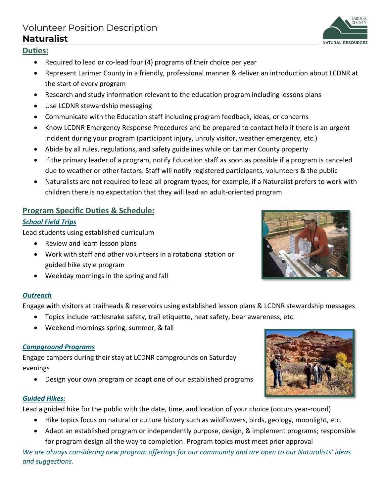## Volunteer Position Description **Naturalist**

## **Duties:**

- Required to lead or co-lead four (4) programs of their choice per year
- Represent Larimer County in a friendly, professional manner & deliver an introduction about LCDNR at the start of every program
- Research and study information relevant to the education program including lessons plans
- Use LCDNR stewardship messaging
- Communicate with the Education staff including program feedback, ideas, or concerns
- Know LCDNR Emergency Response Procedures and be prepared to contact help if there is an urgent incident during your program (participant injury, unruly visitor, weather emergency, etc.)
- Abide by all rules, regulations, and safety guidelines while on Larimer County property
- If the primary leader of a program, notify Education staff as soon as possible if a program is canceled due to weather or other factors. Staff will notify registered participants, volunteers & the public
- Naturalists are not required to lead all program types; for example, if a Naturalist prefers to work with children there is no expectation that they will lead an adult-oriented program

### **Program Specific Duties & Schedule:**

#### *School Field Trips*

Lead students using established curriculum

- Review and learn lesson plans
- Work with staff and other volunteers in a rotational station or guided hike style program
- Weekday mornings in the spring and fall

#### *Outreach*

Engage with visitors at trailheads & reservoirs using established lesson plans & LCDNR stewardship messages

- Topics include rattlesnake safety, trail etiquette, heat safety, bear awareness, etc.
- Weekend mornings spring, summer, & fall

#### *Campground Programs*

Engage campers during their stay at LCDNR campgrounds on Saturday evenings

• Design your own program or adapt one of our established programs

#### *Guided Hikes:*

Lead a guided hike for the public with the date, time, and location of your choice (occurs year-round)

- Hike topics focus on natural or culture history such as wildflowers, birds, geology, moonlight, etc.
- Adapt an established program or independently purpose, design, & implement programs; responsible for program design all the way to completion. Program topics must meet prior approval

*We are always considering new program offerings for our community and are open to our Naturalists' ideas and suggestions.*